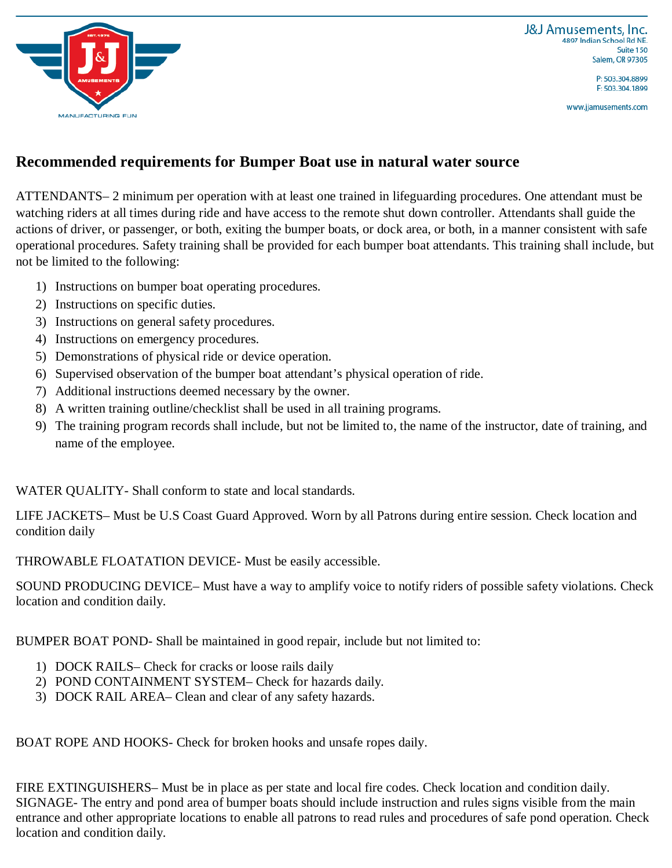

P: 503.304.8899 F: 503.304.1899

www.jjamusements.com



## **Recommended requirements for Bumper Boat use in natural water source**

ATTENDANTS– 2 minimum per operation with at least one trained in lifeguarding procedures. One attendant must be watching riders at all times during ride and have access to the remote shut down controller. Attendants shall guide the actions of driver, or passenger, or both, exiting the bumper boats, or dock area, or both, in a manner consistent with safe operational procedures. Safety training shall be provided for each bumper boat attendants. This training shall include, but not be limited to the following:

- 1) Instructions on bumper boat operating procedures.
- 2) Instructions on specific duties.
- 3) Instructions on general safety procedures.
- 4) Instructions on emergency procedures.
- 5) Demonstrations of physical ride or device operation.
- 6) Supervised observation of the bumper boat attendant's physical operation of ride.
- 7) Additional instructions deemed necessary by the owner.
- 8) A written training outline/checklist shall be used in all training programs.
- 9) The training program records shall include, but not be limited to, the name of the instructor, date of training, and name of the employee.

WATER QUALITY- Shall conform to state and local standards.

LIFE JACKETS– Must be U.S Coast Guard Approved. Worn by all Patrons during entire session. Check location and condition daily

THROWABLE FLOATATION DEVICE- Must be easily accessible.

SOUND PRODUCING DEVICE– Must have a way to amplify voice to notify riders of possible safety violations. Check location and condition daily.

BUMPER BOAT POND- Shall be maintained in good repair, include but not limited to:

- 1) DOCK RAILS– Check for cracks or loose rails daily
- 2) POND CONTAINMENT SYSTEM– Check for hazards daily.
- 3) DOCK RAIL AREA– Clean and clear of any safety hazards.

BOAT ROPE AND HOOKS- Check for broken hooks and unsafe ropes daily.

FIRE EXTINGUISHERS– Must be in place as per state and local fire codes. Check location and condition daily. SIGNAGE- The entry and pond area of bumper boats should include instruction and rules signs visible from the main entrance and other appropriate locations to enable all patrons to read rules and procedures of safe pond operation. Check location and condition daily.